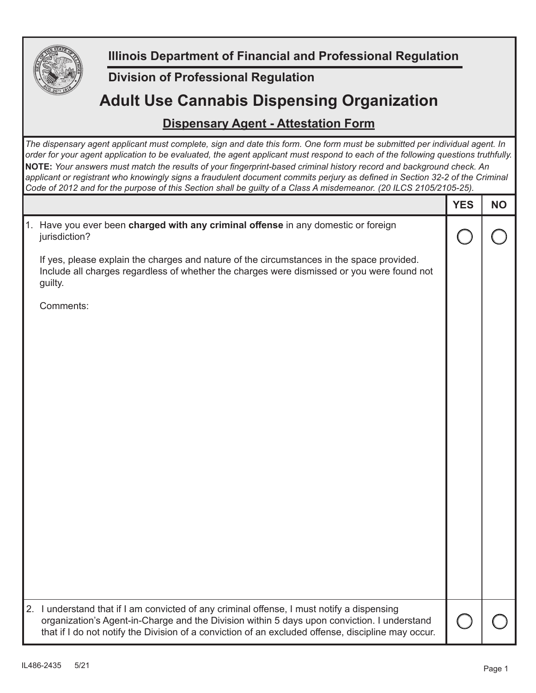

**Illinois Department of Financial and Professional Regulation**

## **Division of Professional Regulation**

## **Adult Use Cannabis Dispensing Organization**

## **Dispensary Agent - Attestation Form**

*The dispensary agent applicant must complete, sign and date this form. One form must be submitted per individual agent. In order for your agent application to be evaluated, the agent applicant must respond to each of the following questions truthfully.*  **NOTE:** Your answers must match the results of your fingerprint-based criminal history record and background check. An applicant or registrant who knowingly signs a fraudulent document commits perjury as defined in Section 32-2 of the Criminal *Code of 2012 and for the purpose of this Section shall be guilty of a Class A misdemeanor. (20 ILCS 2105/2105-25).*

|                                                                                                                                                                                                                                                                                                 | <b>YES</b> | <b>NO</b> |
|-------------------------------------------------------------------------------------------------------------------------------------------------------------------------------------------------------------------------------------------------------------------------------------------------|------------|-----------|
| 1. Have you ever been charged with any criminal offense in any domestic or foreign<br>jurisdiction?                                                                                                                                                                                             |            |           |
| If yes, please explain the charges and nature of the circumstances in the space provided.<br>Include all charges regardless of whether the charges were dismissed or you were found not<br>guilty.                                                                                              |            |           |
| Comments:                                                                                                                                                                                                                                                                                       |            |           |
|                                                                                                                                                                                                                                                                                                 |            |           |
|                                                                                                                                                                                                                                                                                                 |            |           |
|                                                                                                                                                                                                                                                                                                 |            |           |
|                                                                                                                                                                                                                                                                                                 |            |           |
|                                                                                                                                                                                                                                                                                                 |            |           |
|                                                                                                                                                                                                                                                                                                 |            |           |
|                                                                                                                                                                                                                                                                                                 |            |           |
|                                                                                                                                                                                                                                                                                                 |            |           |
| 2. I understand that if I am convicted of any criminal offense, I must notify a dispensing<br>organization's Agent-in-Charge and the Division within 5 days upon conviction. I understand<br>that if I do not notify the Division of a conviction of an excluded offense, discipline may occur. |            |           |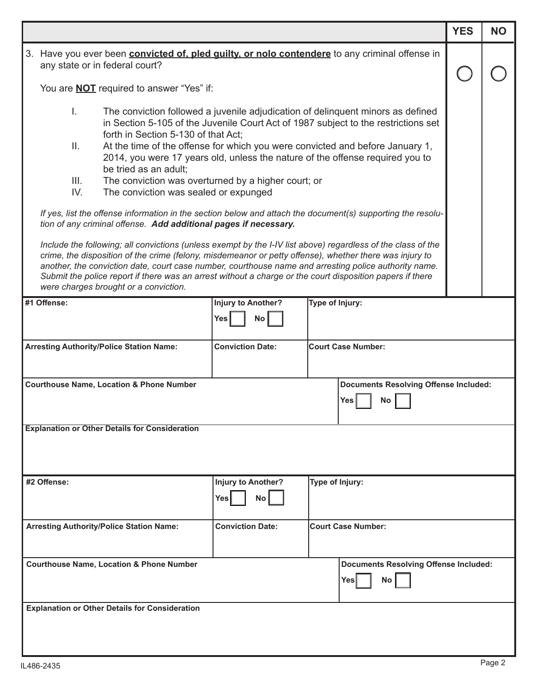|                                                                                                                                                                                                                                                                                                                                                                                                                                                                                        |                                                            |                           |                                              | <b>YES</b> | <b>NO</b> |  |  |  |
|----------------------------------------------------------------------------------------------------------------------------------------------------------------------------------------------------------------------------------------------------------------------------------------------------------------------------------------------------------------------------------------------------------------------------------------------------------------------------------------|------------------------------------------------------------|---------------------------|----------------------------------------------|------------|-----------|--|--|--|
| 3. Have you ever been <b>convicted of, pled guilty, or nolo contendere</b> to any criminal offense in                                                                                                                                                                                                                                                                                                                                                                                  |                                                            |                           |                                              |            |           |  |  |  |
| any state or in federal court?                                                                                                                                                                                                                                                                                                                                                                                                                                                         |                                                            |                           |                                              |            |           |  |  |  |
| You are <b>NOT</b> required to answer "Yes" if:                                                                                                                                                                                                                                                                                                                                                                                                                                        |                                                            |                           |                                              |            |           |  |  |  |
| The conviction followed a juvenile adjudication of delinguent minors as defined<br>L.<br>in Section 5-105 of the Juvenile Court Act of 1987 subject to the restrictions set<br>forth in Section 5-130 of that Act;                                                                                                                                                                                                                                                                     |                                                            |                           |                                              |            |           |  |  |  |
| Ш.<br>At the time of the offense for which you were convicted and before January 1,<br>2014, you were 17 years old, unless the nature of the offense required you to<br>be tried as an adult;                                                                                                                                                                                                                                                                                          |                                                            |                           |                                              |            |           |  |  |  |
| Ш.<br>The conviction was overturned by a higher court; or                                                                                                                                                                                                                                                                                                                                                                                                                              |                                                            |                           |                                              |            |           |  |  |  |
| IV.<br>The conviction was sealed or expunged                                                                                                                                                                                                                                                                                                                                                                                                                                           |                                                            |                           |                                              |            |           |  |  |  |
| If yes, list the offense information in the section below and attach the document(s) supporting the resolu-<br>tion of any criminal offense. Add additional pages if necessary.                                                                                                                                                                                                                                                                                                        |                                                            |                           |                                              |            |           |  |  |  |
| Include the following; all convictions (unless exempt by the I-IV list above) regardless of the class of the<br>crime, the disposition of the crime (felony, misdemeanor or petty offense), whether there was injury to<br>another, the conviction date, court case number, courthouse name and arresting police authority name.<br>Submit the police report if there was an arrest without a charge or the court disposition papers if there<br>were charges brought or a conviction. |                                                            |                           |                                              |            |           |  |  |  |
| #1 Offense:                                                                                                                                                                                                                                                                                                                                                                                                                                                                            | <b>Injury to Another?</b>                                  | Type of Injury:           |                                              |            |           |  |  |  |
|                                                                                                                                                                                                                                                                                                                                                                                                                                                                                        | <b>Yes</b><br>No                                           |                           |                                              |            |           |  |  |  |
| <b>Arresting Authority/Police Station Name:</b>                                                                                                                                                                                                                                                                                                                                                                                                                                        | <b>Conviction Date:</b>                                    | <b>Court Case Number:</b> |                                              |            |           |  |  |  |
| <b>Courthouse Name, Location &amp; Phone Number</b><br><b>Documents Resolving Offense Included:</b><br>Yes<br>Nο                                                                                                                                                                                                                                                                                                                                                                       |                                                            |                           |                                              |            |           |  |  |  |
| <b>Explanation or Other Details for Consideration</b>                                                                                                                                                                                                                                                                                                                                                                                                                                  |                                                            |                           |                                              |            |           |  |  |  |
| #2 Offense:                                                                                                                                                                                                                                                                                                                                                                                                                                                                            | <b>Injury to Another?</b><br><b>Yes</b><br>No <sub>1</sub> | Type of Injury:           |                                              |            |           |  |  |  |
| <b>Arresting Authority/Police Station Name:</b>                                                                                                                                                                                                                                                                                                                                                                                                                                        | <b>Conviction Date:</b>                                    | <b>Court Case Number:</b> |                                              |            |           |  |  |  |
| <b>Courthouse Name, Location &amp; Phone Number</b>                                                                                                                                                                                                                                                                                                                                                                                                                                    |                                                            |                           | <b>Documents Resolving Offense Included:</b> |            |           |  |  |  |
|                                                                                                                                                                                                                                                                                                                                                                                                                                                                                        |                                                            | Yes                       | No                                           |            |           |  |  |  |
| <b>Explanation or Other Details for Consideration</b>                                                                                                                                                                                                                                                                                                                                                                                                                                  |                                                            |                           |                                              |            |           |  |  |  |
|                                                                                                                                                                                                                                                                                                                                                                                                                                                                                        |                                                            |                           |                                              |            |           |  |  |  |

ı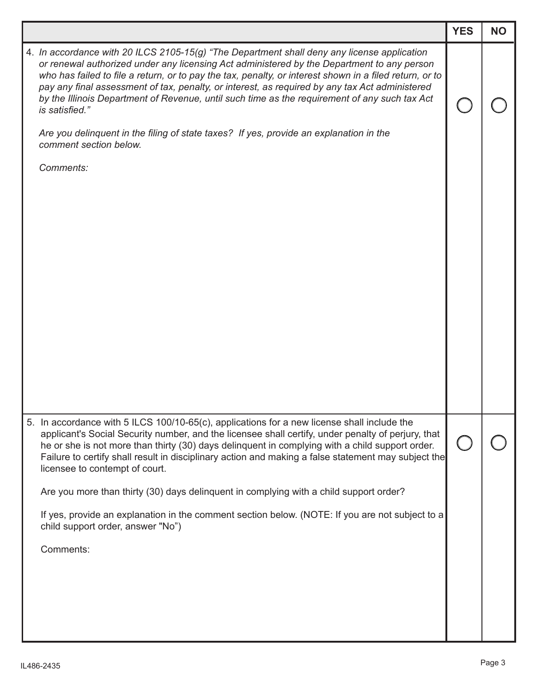|                                                                                  |                                                                                                                                                                                                                                                                                                                                                                                                                                                                                                                                                                                                          | <b>YES</b> | <b>NO</b> |
|----------------------------------------------------------------------------------|----------------------------------------------------------------------------------------------------------------------------------------------------------------------------------------------------------------------------------------------------------------------------------------------------------------------------------------------------------------------------------------------------------------------------------------------------------------------------------------------------------------------------------------------------------------------------------------------------------|------------|-----------|
| is satisfied."                                                                   | 4. In accordance with 20 ILCS 2105-15(g) "The Department shall deny any license application<br>or renewal authorized under any licensing Act administered by the Department to any person<br>who has failed to file a return, or to pay the tax, penalty, or interest shown in a filed return, or to<br>pay any final assessment of tax, penalty, or interest, as required by any tax Act administered<br>by the Illinois Department of Revenue, until such time as the requirement of any such tax Act<br>Are you delinquent in the filing of state taxes? If yes, provide an explanation in the        |            |           |
| comment section below.                                                           |                                                                                                                                                                                                                                                                                                                                                                                                                                                                                                                                                                                                          |            |           |
| Comments:                                                                        |                                                                                                                                                                                                                                                                                                                                                                                                                                                                                                                                                                                                          |            |           |
| licensee to contempt of court.<br>child support order, answer "No")<br>Comments: | 5. In accordance with 5 ILCS 100/10-65(c), applications for a new license shall include the<br>applicant's Social Security number, and the licensee shall certify, under penalty of perjury, that<br>he or she is not more than thirty (30) days delinguent in complying with a child support order.<br>Failure to certify shall result in disciplinary action and making a false statement may subject the<br>Are you more than thirty (30) days delinquent in complying with a child support order?<br>If yes, provide an explanation in the comment section below. (NOTE: If you are not subject to a |            |           |